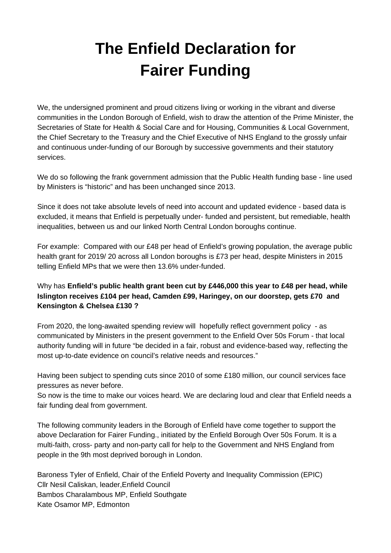## **The Enfield Declaration for Fairer Funding**

We, the undersigned prominent and proud citizens living or working in the vibrant and diverse communities in the London Borough of Enfield, wish to draw the attention of the Prime Minister, the Secretaries of State for Health & Social Care and for Housing, Communities & Local Government, the Chief Secretary to the Treasury and the Chief Executive of NHS England to the grossly unfair and continuous under-funding of our Borough by successive governments and their statutory services.

We do so following the frank government admission that the Public Health funding base - line used by Ministers is "historic" and has been unchanged since 2013.

Since it does not take absolute levels of need into account and updated evidence - based data is excluded, it means that Enfield is perpetually under- funded and persistent, but remediable, health inequalities, between us and our linked North Central London boroughs continue.

For example: Compared with our £48 per head of Enfield's growing population, the average public health grant for 2019/ 20 across all London boroughs is £73 per head, despite Ministers in 2015 telling Enfield MPs that we were then 13.6% under-funded.

## Why has **Enfield's public health grant been cut by £446,000 this year to £48 per head, while Islington receives £104 per head, Camden £99, Haringey, on our doorstep, gets £70 and Kensington & Chelsea £130 ?**

From 2020, the long-awaited spending review will hopefully reflect government policy - as communicated by Ministers in the present government to the Enfield Over 50s Forum - that local authority funding will in future "be decided in a fair, robust and evidence-based way, reflecting the most up-to-date evidence on council's relative needs and resources."

Having been subject to spending cuts since 2010 of some £180 million, our council services face pressures as never before.

So now is the time to make our voices heard. We are declaring loud and clear that Enfield needs a fair funding deal from government.

The following community leaders in the Borough of Enfield have come together to support the above Declaration for Fairer Funding., initiated by the Enfield Borough Over 50s Forum. It is a multi-faith, cross- party and non-party call for help to the Government and NHS England from people in the 9th most deprived borough in London.

Baroness Tyler of Enfield, Chair of the Enfield Poverty and Inequality Commission (EPIC) Cllr Nesil Caliskan, leader,Enfield Council Bambos Charalambous MP, Enfield Southgate Kate Osamor MP, Edmonton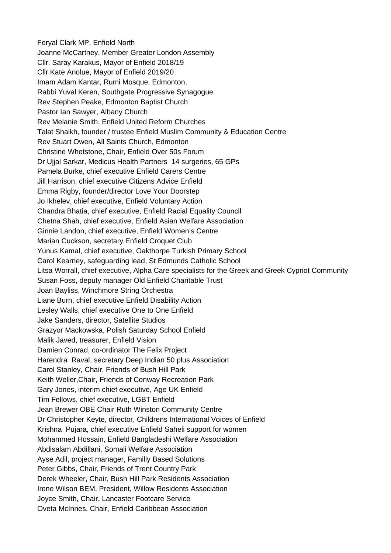Feryal Clark MP, Enfield North Joanne McCartney, Member Greater London Assembly Cllr. Saray Karakus, Mayor of Enfield 2018/19 Cllr Kate Anolue, Mayor of Enfield 2019/20 Imam Adam Kantar, Rumi Mosque, Edmonton, Rabbi Yuval Keren, Southgate Progressive Synagogue Rev Stephen Peake, Edmonton Baptist Church Pastor Ian Sawyer, Albany Church Rev Melanie Smith, Enfield United Reform Churches Talat Shaikh, founder / trustee Enfield Muslim Community & Education Centre Rev Stuart Owen, All Saints Church, Edmonton Christine Whetstone, Chair, Enfield Over 50s Forum Dr Ujjal Sarkar, Medicus Health Partners 14 surgeries, 65 GPs Pamela Burke, chief executive Enfield Carers Centre Jill Harrison, chief executive Citizens Advice Enfield Emma Rigby, founder/director Love Your Doorstep Jo Ikhelev, chief executive, Enfield Voluntary Action Chandra Bhatia, chief executive, Enfield Racial Equality Council Chetna Shah, chief executive, Enfield Asian Welfare Association Ginnie Landon, chief executive, Enfield Women's Centre Marian Cuckson, secretary Enfield Croquet Club Yunus Kamal, chief executive, Oakthorpe Turkish Primary School Carol Kearney, safeguarding lead, St Edmunds Catholic School Litsa Worrall, chief executive, Alpha Care specialists for the Greek and Greek Cypriot Community Susan Foss, deputy manager Old Enfield Charitable Trust Joan Bayliss, Winchmore String Orchestra Liane Burn, chief executive Enfield Disability Action Lesley Walls, chief executive One to One Enfield Jake Sanders, director, Satellite Studios Grazyor Mackowska, Polish Saturday School Enfield Malik Javed, treasurer, Enfield Vision Damien Conrad, co-ordinator The Felix Project Harendra Raval, secretary Deep Indian 50 plus Association Carol Stanley, Chair, Friends of Bush Hill Park Keith Weller,Chair, Friends of Conway Recreation Park Gary Jones, interim chief executive, Age UK Enfield Tim Fellows, chief executive, LGBT Enfield Jean Brewer OBE Chair Ruth Winston Community Centre Dr Christopher Keyte, director, Childrens International Voices of Enfield Krishna Pujara, chief executive Enfield Saheli support for women Mohammed Hossain, Enfield Bangladeshi Welfare Association Abdisalam Abdillani, Somali Welfare Association Ayse Adil, project manager, Familly Based Solutions Peter Gibbs, Chair, Friends of Trent Country Park Derek Wheeler, Chair, Bush Hill Park Residents Association Irene Wilson BEM. President, Willow Residents Association Joyce Smith, Chair, Lancaster Footcare Service Oveta McInnes, Chair, Enfield Caribbean Association